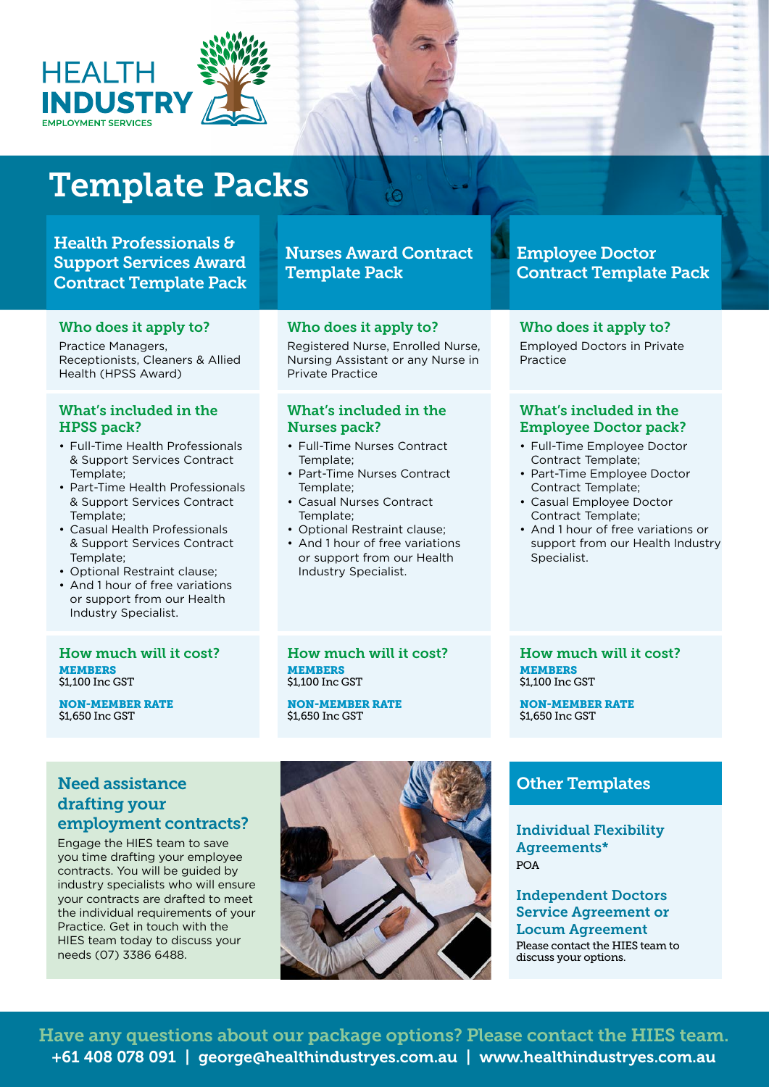

# Template Packs

## Health Professionals & Support Services Award Contract Template Pack

## Template Pack

Nurses Award Contract

 $\circ$ 

#### Who does it apply to?

Practice Managers, Receptionists, Cleaners & Allied Health (HPSS Award)

### What's included in the HPSS pack?

- Full-Time Health Professionals & Support Services Contract Template;
- Part-Time Health Professionals & Support Services Contract Template;
- Casual Health Professionals & Support Services Contract Template;
- Optional Restraint clause;
- And 1 hour of free variations or support from our Health Industry Specialist.

#### How much will it cost? MEMBERS \$1,100 Inc GST

NON-MEMBER RATE \$1,650 Inc GST

### Who does it apply to?

Registered Nurse, Enrolled Nurse, Nursing Assistant or any Nurse in Private Practice

#### What's included in the Nurses pack?

- Full-Time Nurses Contract Template;
- Part-Time Nurses Contract Template;
- Casual Nurses Contract Template;
- Optional Restraint clause;
- And 1 hour of free variations or support from our Health Industry Specialist.

## Employee Doctor Contract Template Pack

## Who does it apply to?

Employed Doctors in Private Practice

#### What's included in the Employee Doctor pack?

- Full-Time Employee Doctor Contract Template;
- Part-Time Employee Doctor Contract Template;
- Casual Employee Doctor Contract Template;
- And 1 hour of free variations or support from our Health Industry Specialist.

How much will it cost? MEMBERS \$1,100 Inc GST

NON-MEMBER RATE \$1,650 Inc GST

How much will it cost? MEMBERS \$1,100 Inc GST

NON-MEMBER RATE \$1,650 Inc GST

## Need assistance drafting your employment contracts?

Engage the HIES team to save you time drafting your employee contracts. You will be guided by industry specialists who will ensure your contracts are drafted to meet the individual requirements of your Practice. Get in touch with the HIES team today to discuss your needs (07) 3386 6488.



## Other Templates

Individual Flexibility Agreements\* POA

Independent Doctors Service Agreement or Locum Agreement Please contact the HIES team to discuss your options.

+61 408 078 091 | george@healthindustryes.com.au | www.healthindustryes.com.au Have any questions about our package options? Please contact the HIES team.